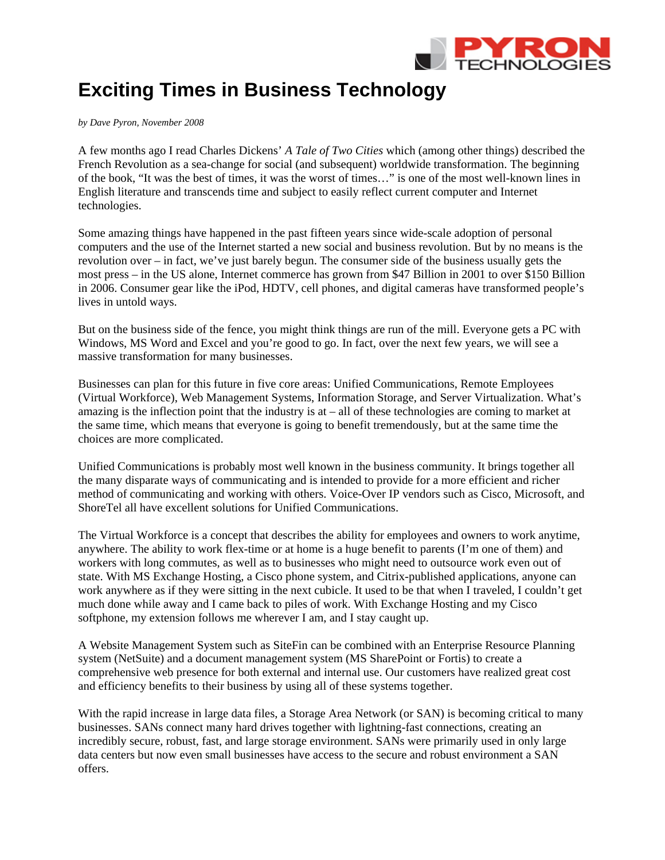

## **Exciting Times in Business Technology**

*by Dave Pyron, November 2008* 

A few months ago I read Charles Dickens' *A Tale of Two Cities* which (among other things) described the French Revolution as a sea-change for social (and subsequent) worldwide transformation. The beginning of the book, "It was the best of times, it was the worst of times…" is one of the most well-known lines in English literature and transcends time and subject to easily reflect current computer and Internet technologies.

Some amazing things have happened in the past fifteen years since wide-scale adoption of personal computers and the use of the Internet started a new social and business revolution. But by no means is the revolution over – in fact, we've just barely begun. The consumer side of the business usually gets the most press – in the US alone, Internet commerce has grown from \$47 Billion in 2001 to over \$150 Billion in 2006. Consumer gear like the iPod, HDTV, cell phones, and digital cameras have transformed people's lives in untold ways.

But on the business side of the fence, you might think things are run of the mill. Everyone gets a PC with Windows, MS Word and Excel and you're good to go. In fact, over the next few years, we will see a massive transformation for many businesses.

Businesses can plan for this future in five core areas: Unified Communications, Remote Employees (Virtual Workforce), Web Management Systems, Information Storage, and Server Virtualization. What's amazing is the inflection point that the industry is at – all of these technologies are coming to market at the same time, which means that everyone is going to benefit tremendously, but at the same time the choices are more complicated.

Unified Communications is probably most well known in the business community. It brings together all the many disparate ways of communicating and is intended to provide for a more efficient and richer method of communicating and working with others. Voice-Over IP vendors such as Cisco, Microsoft, and ShoreTel all have excellent solutions for Unified Communications.

The Virtual Workforce is a concept that describes the ability for employees and owners to work anytime, anywhere. The ability to work flex-time or at home is a huge benefit to parents (I'm one of them) and workers with long commutes, as well as to businesses who might need to outsource work even out of state. With MS Exchange Hosting, a Cisco phone system, and Citrix-published applications, anyone can work anywhere as if they were sitting in the next cubicle. It used to be that when I traveled, I couldn't get much done while away and I came back to piles of work. With Exchange Hosting and my Cisco softphone, my extension follows me wherever I am, and I stay caught up.

A Website Management System such as SiteFin can be combined with an Enterprise Resource Planning system (NetSuite) and a document management system (MS SharePoint or Fortis) to create a comprehensive web presence for both external and internal use. Our customers have realized great cost and efficiency benefits to their business by using all of these systems together.

With the rapid increase in large data files, a Storage Area Network (or SAN) is becoming critical to many businesses. SANs connect many hard drives together with lightning-fast connections, creating an incredibly secure, robust, fast, and large storage environment. SANs were primarily used in only large data centers but now even small businesses have access to the secure and robust environment a SAN offers.